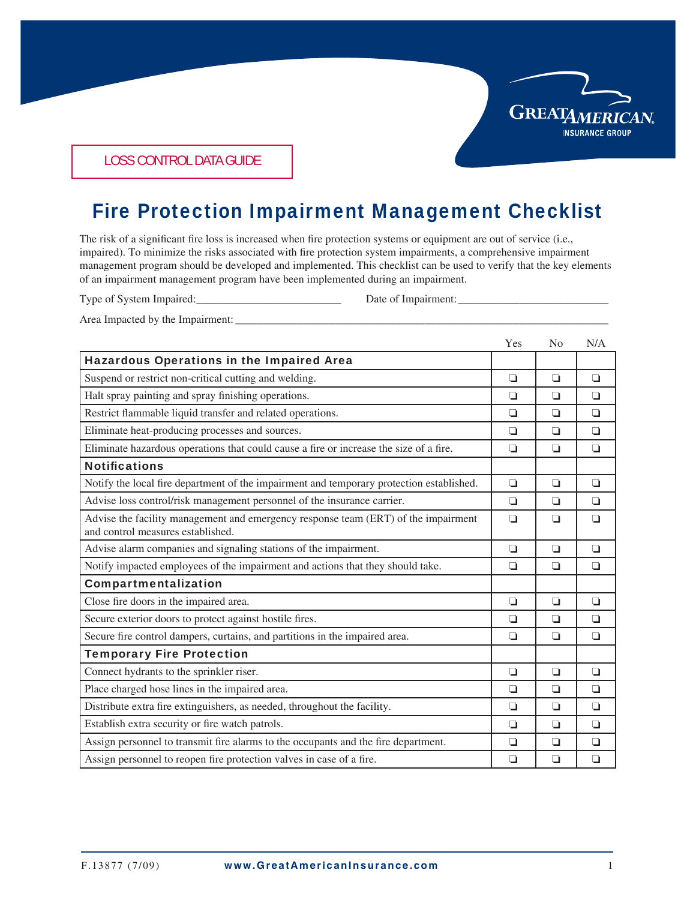

LOSS CONTROL DATA GUIDE

## Fire Protection Impairment Management Checklist

The risk of a significant fire loss is increased when fire protection systems or equipment are out of service (i.e., impaired). To minimize the risks associated with fire protection system impairments, a comprehensive impairment management program should be developed and implemented. This checklist can be used to verify that the key elements of an impairment management program have been implemented during an impairment.

Type of System Impaired: Date of Impairment:

Area Impacted by the Impairment:

|                                                                                                                         | Yes    | N <sub>0</sub> | N/A    |
|-------------------------------------------------------------------------------------------------------------------------|--------|----------------|--------|
| <b>Hazardous Operations in the Impaired Area</b>                                                                        |        |                |        |
| Suspend or restrict non-critical cutting and welding.                                                                   | $\Box$ | ◘              | $\Box$ |
| Halt spray painting and spray finishing operations.                                                                     | ◘      | ◘              | $\Box$ |
| Restrict flammable liquid transfer and related operations.                                                              | ◘      | ◘              | $\Box$ |
| Eliminate heat-producing processes and sources.                                                                         | ◘      | ◘              | $\Box$ |
| Eliminate hazardous operations that could cause a fire or increase the size of a fire.                                  | ❏      | o              | ◘      |
| <b>Notifications</b>                                                                                                    |        |                |        |
| Notify the local fire department of the impairment and temporary protection established.                                | $\Box$ | ◘              | $\Box$ |
| Advise loss control/risk management personnel of the insurance carrier.                                                 | ◘      | ◘              | ◘      |
| Advise the facility management and emergency response team (ERT) of the impairment<br>and control measures established. | O      | o              | $\Box$ |
| Advise alarm companies and signaling stations of the impairment.                                                        | O      | ◘              | $\Box$ |
| Notify impacted employees of the impairment and actions that they should take.                                          | O      | ◘              | $\Box$ |
| Compartmentalization                                                                                                    |        |                |        |
| Close fire doors in the impaired area.                                                                                  | O      | $\Box$         | $\Box$ |
| Secure exterior doors to protect against hostile fires.                                                                 | ◘      | ◘              | $\Box$ |
| Secure fire control dampers, curtains, and partitions in the impaired area.                                             | ◘      | ◘              | o      |
| <b>Temporary Fire Protection</b>                                                                                        |        |                |        |
| Connect hydrants to the sprinkler riser.                                                                                | $\Box$ | ◘              | $\Box$ |
| Place charged hose lines in the impaired area.                                                                          | $\Box$ | ◘              | $\Box$ |
| Distribute extra fire extinguishers, as needed, throughout the facility.                                                | ◘      | ◘              | $\Box$ |
| Establish extra security or fire watch patrols.                                                                         | $\Box$ | $\Box$         | $\Box$ |
| Assign personnel to transmit fire alarms to the occupants and the fire department.                                      | O      | $\Box$         | $\Box$ |
| Assign personnel to reopen fire protection valves in case of a fire.                                                    | O      | $\Box$         | $\Box$ |